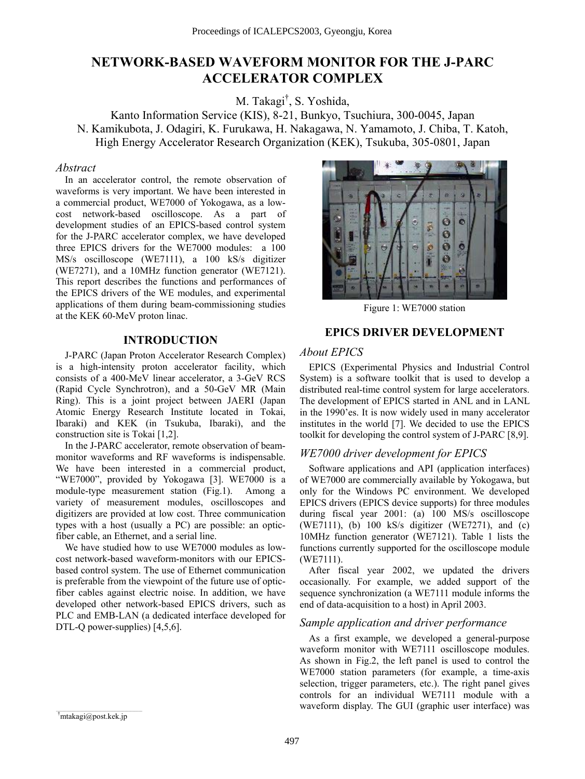## **NETWORK-BASED WAVEFORM MONITOR FOR THE J-PARC ACCELERATOR COMPLEX**

M. Takagi<sup>†</sup>, S. Yoshida,

Kanto Information Service (KIS), 8-21, Bunkyo, Tsuchiura, 300-0045, Japan N. Kamikubota, J. Odagiri, K. Furukawa, H. Nakagawa, N. Yamamoto, J. Chiba, T. Katoh, High Energy Accelerator Research Organization (KEK), Tsukuba, 305-0801, Japan

### *Abstract*

In an accelerator control, the remote observation of waveforms is very important. We have been interested in a commercial product, WE7000 of Yokogawa, as a lowcost network-based oscilloscope. As a part of development studies of an EPICS-based control system for the J-PARC accelerator complex, we have developed three EPICS drivers for the WE7000 modules: a 100 MS/s oscilloscope (WE7111), a 100 kS/s digitizer (WE7271), and a 10MHz function generator (WE7121). This report describes the functions and performances of the EPICS drivers of the WE modules, and experimental applications of them during beam-commissioning studies at the KEK 60-MeV proton linac.

*About EPICS* J-PARC (Japan Proton Accelerator Research Complex) is a high-intensity proton accelerator facility, which consists of a 400-MeV linear accelerator, a 3-GeV RCS (Rapid Cycle Synchrotron), and a 50-GeV MR (Main Ring). This is a joint project between JAERI (Japan Atomic Energy Research Institute located in Tokai, Ibaraki) and KEK (in Tsukuba, Ibaraki), and the construction site is Tokai [1,2].

In the J-PARC accelerator, remote observation of beammonitor waveforms and RF waveforms is indispensable. We have been interested in a commercial product, "WE7000", provided by Yokogawa [3]. WE7000 is a module-type measurement station (Fig.1). Among a variety of measurement modules, oscilloscopes and digitizers are provided at low cost. Three communication types with a host (usually a PC) are possible: an opticfiber cable, an Ethernet, and a serial line.

We have studied how to use WE7000 modules as lowcost network-based waveform-monitors with our EPICSbased control system. The use of Ethernet communication is preferable from the viewpoint of the future use of opticfiber cables against electric noise. In addition, we have developed other network-based EPICS drivers, such as PLC and EMB-LAN (a dedicated interface developed for DTL-Q power-supplies) [4,5,6].



Figure 1: WE7000 station

# **EPICS DRIVER DEVELOPMENT**<br> **EPICS DRIVER DEVELOPMENT**<br> **About EPICS**

EPICS (Experimental Physics and Industrial Control System) is a software toolkit that is used to develop a distributed real-time control system for large accelerators. The development of EPICS started in ANL and in LANL in the 1990'es. It is now widely used in many accelerator institutes in the world [7]. We decided to use the EPICS toolkit for developing the control system of J-PARC [8,9].

## *WE7000 driver development for EPICS*

Software applications and API (application interfaces) of WE7000 are commercially available by Yokogawa, but only for the Windows PC environment. We developed EPICS drivers (EPICS device supports) for three modules during fiscal year 2001: (a) 100 MS/s oscilloscope (WE7111), (b) 100 kS/s digitizer (WE7271), and (c) 10MHz function generator (WE7121). Table 1 lists the functions currently supported for the oscilloscope module (WE7111).

After fiscal year 2002, we updated the drivers occasionally. For example, we added support of the sequence synchronization (a WE7111 module informs the end of data-acquisition to a host) in April 2003.

### *Sample application and driver performance*

As a first example, we developed a general-purpose waveform monitor with WE7111 oscilloscope modules. As shown in Fig.2, the left panel is used to control the WE7000 station parameters (for example, a time-axis selection, trigger parameters, etc.). The right panel gives controls for an individual WE7111 module with a waveform display. The GUI (graphic user interface) was

† mtakagi@post.kek.jp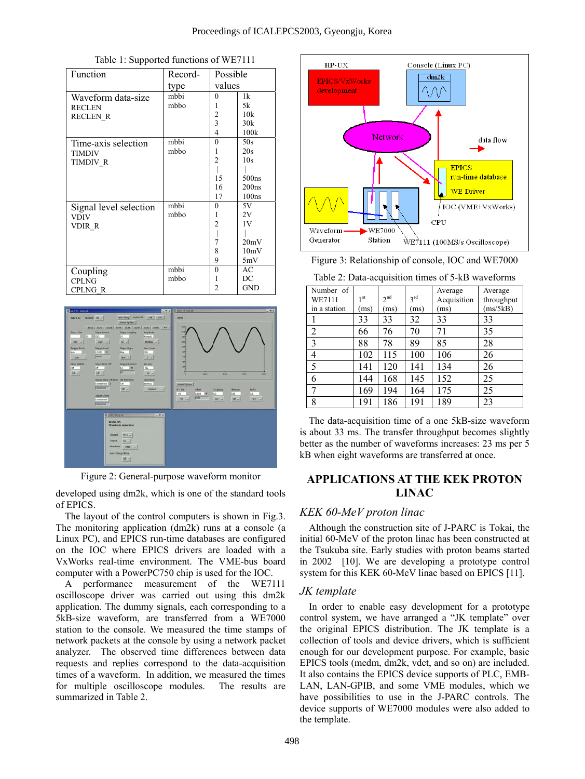|  |  |  | Table 1: Supported functions of WE7111 |
|--|--|--|----------------------------------------|
|--|--|--|----------------------------------------|

| Function               | Record- | Possible       |                   |
|------------------------|---------|----------------|-------------------|
|                        | type    | values         |                   |
| Waveform data-size     | mbbi    | 0              | 1k                |
| <b>RECLEN</b>          | mbbo    |                | 5k                |
| <b>RECLEN R</b>        |         | $\overline{c}$ | 10k               |
|                        |         | $\overline{3}$ | 30k               |
|                        |         | 4              | 100k              |
| Time-axis selection    | mbbi    | $\theta$       | 50s               |
| <b>TIMDIV</b>          | mbbo    |                | 20s               |
| TIMDIV R               |         | 2              | 10s               |
|                        |         |                |                   |
|                        |         | 15             | 500 <sub>ns</sub> |
|                        |         | 16             | 200ns             |
|                        |         | 17             | 100ns             |
| Signal level selection | mbbi    | 0              | 5V                |
| <b>VDIV</b>            | mbbo    | 1              | 2V                |
| VDIR R                 |         | 2              | 1V                |
|                        |         |                |                   |
|                        |         | $\overline{7}$ | 20mV              |
|                        |         | 8              | 10mV              |
|                        |         | 9              | 5mV               |
| Coupling               | mbbi    | $\theta$       | AC                |
| <b>CPLNG</b>           | mbbo    | 1              | DC                |
| <b>CPLNG R</b>         |         | $\overline{c}$ | <b>GND</b>        |



developed using dm2k, which is one of the standard tools **LINAC** of EPICS. *KEK 60-MeV proton linac* The layout of the control computers is shown in Fig.3.

The monitoring application (dm2k) runs at a console (a Linux PC), and EPICS run-time databases are configured on the IOC where EPICS drivers are loaded with a VxWorks real-time environment. The VME-bus board computer with a PowerPC750 chip is used for the IOC.

A performance measurement of the WE7111 oscilloscope driver was carried out using this dm2k application. The dummy signals, each corresponding to a 5kB-size waveform, are transferred from a WE7000 station to the console. We measured the time stamps of network packets at the console by using a network packet analyzer. The observed time differences between data requests and replies correspond to the data-acquisition times of a waveform. In addition, we measured the times for multiple oscilloscope modules. The results are summarized in Table 2.



Figure 3: Relationship of console, IOC and WE7000

|  | Table 2: Data-acquisition times of 5-kB waveforms |  |  |  |  |
|--|---------------------------------------------------|--|--|--|--|
|--|---------------------------------------------------|--|--|--|--|

| Number of<br><b>WE7111</b> | 1 <sup>st</sup> | 2 <sub>nd</sub> | 3 <sup>rd</sup> | Average<br>Acquisition | Average<br>throughput |
|----------------------------|-----------------|-----------------|-----------------|------------------------|-----------------------|
| in a station               | (ms)            | (ms)            | (ms)            | (ms)                   | (ms/5kB)              |
|                            | 33              | 33              | 32              | 33                     | 33                    |
| $\overline{2}$             | 66              | 76              | 70              | 71                     | 35                    |
| 3                          | 88              | 78              | 89              | 85                     | 28                    |
| 4                          | 102             | 115             | 100             | 106                    | 26                    |
| 5                          | 141             | 120             | 141             | 134                    | 26                    |
| 6                          | 144             | 168             | 145             | 152                    | 25                    |
| 7                          | 169             | 194             | 164             | 175                    | 25                    |
| 8                          | 191             | 186             | 191             | 189                    | 23                    |

The data-acquisition time of a one 5kB-size waveform is about 33 ms. The transfer throughput becomes slightly better as the number of waveforms increases: 23 ms per 5 kB when eight waveforms are transferred at once.

## Figure 2: General-purpose waveform monitor **APPLICATIONS AT THE KEK PROTON**

Although the construction site of J-PARC is Tokai, the initial 60-MeV of the proton linac has been constructed at the Tsukuba site. Early studies with proton beams started in 2002 [10]. We are developing a prototype control system for this KEK 60-MeV linac based on EPICS [11].

### *JK template*

In order to enable easy development for a prototype control system, we have arranged a "JK template" over the original EPICS distribution. The JK template is a collection of tools and device drivers, which is sufficient enough for our development purpose. For example, basic EPICS tools (medm, dm2k, vdct, and so on) are included. It also contains the EPICS device supports of PLC, EMB-LAN, LAN-GPIB, and some VME modules, which we have possibilities to use in the J-PARC controls. The device supports of WE7000 modules were also added to the template.